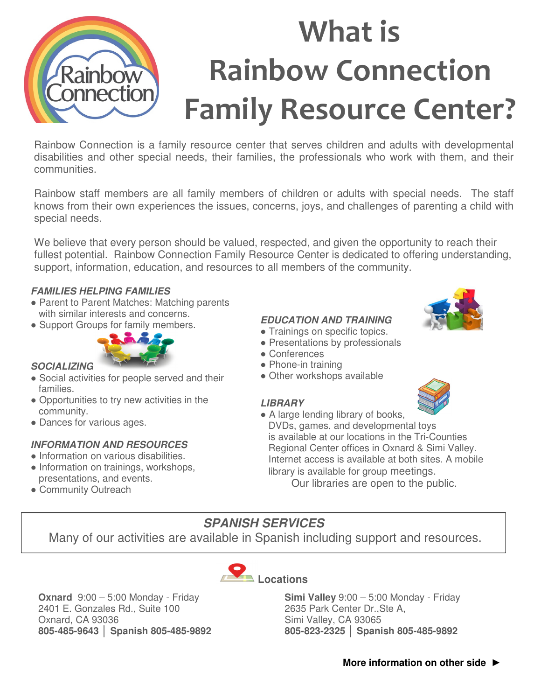

Rainbow Connection is a family resource center that serves children and adults with developmental disabilities and other special needs, their families, the professionals who work with them, and their communities.

Rainbow staff members are all family members of children or adults with special needs. The staff knows from their own experiences the issues, concerns, joys, and challenges of parenting a child with special needs.

We believe that every person should be valued, respected, and given the opportunity to reach their fullest potential. Rainbow Connection Family Resource Center is dedicated to offering understanding, support, information, education, and resources to all members of the community.

#### **FAMILIES HELPING FAMILIES**

- Parent to Parent Matches: Matching parents with similar interests and concerns.
- Support Groups for family members.



### **SOCIALIZING**

- Social activities for people served and their families.
- Opportunities to try new activities in the community.
- Dances for various ages.

### **INFORMATION AND RESOURCES**

- Information on various disabilities.
- Information on trainings, workshops, presentations, and events.
- Community Outreach

### **EDUCATION AND TRAINING**

- Trainings on specific topics.
- Presentations by professionals
- Conferences
- Phone-in training
- Other workshops available

### **LIBRARY**



• A large lending library of books, DVDs, games, and developmental toys is available at our locations in the Tri-Counties Regional Center offices in Oxnard & Simi Valley. Internet access is available at both sites. A mobile library is available for group meetings. Our libraries are open to the public.

**Simi Valley** 9:00 – 5:00 Monday - Friday

**805-823-2325 │ Spanish 805-485-9892** 

2635 Park Center Dr.,Ste A, Simi Valley, CA 93065

## **SPANISH SERVICES**

Many of our activities are available in Spanish including support and resources.



**Oxnard** 9:00 – 5:00 Monday - Friday 2401 E. Gonzales Rd., Suite 100 Oxnard, CA 93036 **805-485-9643 │ Spanish 805-485-9892**

## **More information on other side ►**